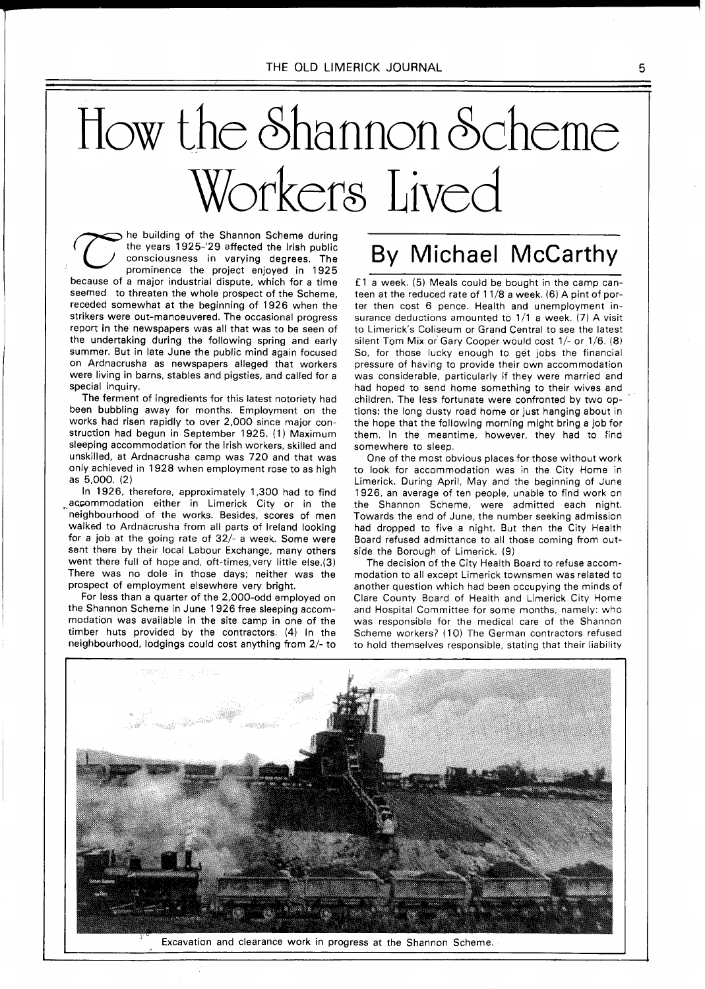# How the 8hannon 6cheme Workerg Lived

he building of the Shannon Scheme during the years 1925-'29 affected the lrish public consciousness in varying degrees. The prominence the project enjoyed in 1925 because of a major industrial dispute, which for a time seemed to threaten the whole prospect of the Scheme, receded somewhat at the beginning of 1926 when the strikers were out-manoeuvered. The occasional progress report in the newspapers was all that was to be seen of the undertaking during the following spring and early summer. But in late June the public mind again focused on Ardnacrusha as newspapers alleged that workers were living in barns, stables and pigsties, and called for a special inquiry.

The ferment of ingredients for this latest notoriety had been bubbling away for months. Employment on the works had risen rapidly to over 2,000 since major construction had begun in September 1925. (1) Maximum sleeping accommodation for the lrish workers, skilled and unskilled, at Ardnacrusha camp was 720 and that was only achieved in 1928 when employment rose to as high as 5,000. (2)

In 1926, therefore, approximately 1,300 had to find accommodation either in Limerick City or in the neighbourhood of the works. Besides, scores of men walked to Ardnacrusha from all parts of Ireland looking for a job at the going rate of 32/- a week. Some were sent there by their local Labour Exchange, many others went there full of hope and, oft-times,very little else.(3) There was no dole in those days; neither was the prospect of employment elsewhere very bright.

For less than a quarter of the 2,000-odd employed on the Shannon Scheme in June 1926 free sleeping accommodation was available in the site camp in one of the timber huts provided by the contractors. (4) In the neighbourhood, lodgings could cost anything from 2/- to

## By Michael McCarthy

**f** l a week. (5) Meals could be bought in the camp canteen at the reduced rate of 11/8 a week. (6) A pint of porter then cost 6 pence. Health and unemployment insurance deductions amounted to  $1/1$  a week. (7) A visit to Limerick's Coliseum or Grand Central to see the latest silent Tom Mix or Gary Cooper would cost 1/- or 1/6. (8) So, for those lucky enough to get jobs the financial pressure of having to provide their own accommodation was considerable, particularly if they were married and had hoped to send home something to their wives and children. The less fortunate were confronted by two options: the long dusty road home or just hanging about in the hope that the following morning might bring a job for them. In the meantime, however, they had to find somewhere to sleep.

One of the most obvious places for those without work to look for accommodation was in the City Home in Limerick. During April, May and the beginning of June 1926, an average of ten people, unable to find work on the Shannon Scheme, were admitted each night. Towards the end of June, the number seeking admission had dropped to five a night. But then the City Health Board refused admittance to all those coming from outside the Borough of Limerick. (9)

The decision of the City Health Board to refuse accommodation to all except Limerick townsmen was related to another question which had been occupying the minds of Clare County Board of Health and Limerick City Home and Hospital Committee for some months, namely: who was responsible for the medical care of the Shannon Scheme workers? (10) The German contractors refused to hold themselves responsible, stating that their liability



Excavation and clearance work in progress at the Shannon Scheme.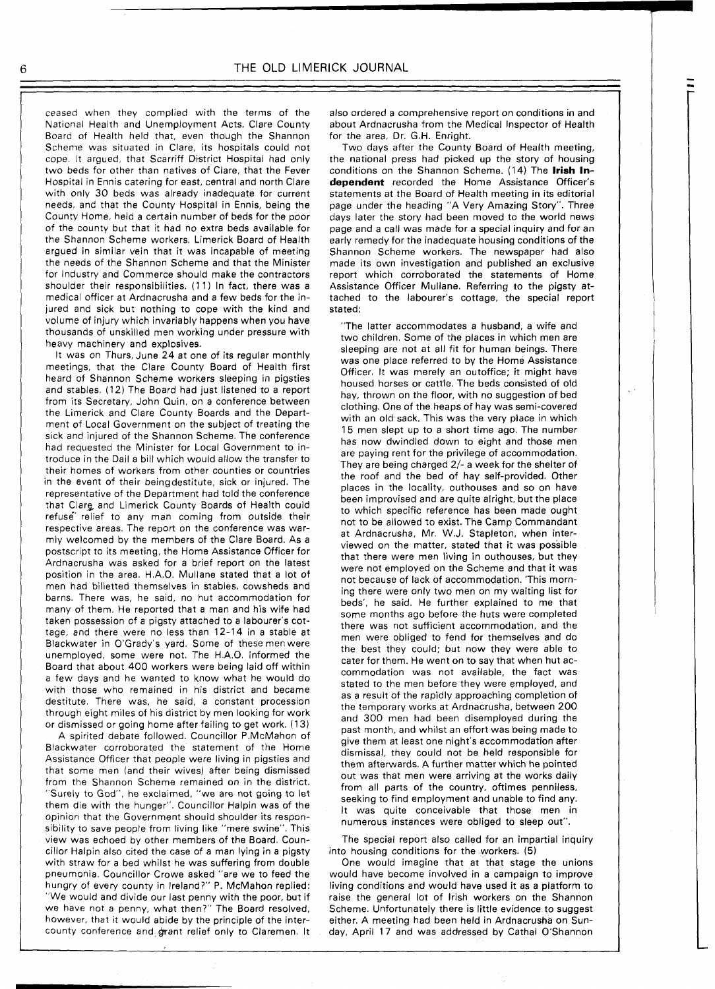ceased when they complied with the terms of the National Health and Unemployment Acts. Clare County Board of Health held that, even though the Shannon Scheme was situated in Clare, its hospitals could not cope. It argued, that Scarriff District Hospital had only two beds for other than natives of Clare, that the Fever Hospital in Ennis catering for east, central and north Clare with only 30 beds was already inadequate for current needs, and that the County Hospital in Ennis, being the County Home, held a certain number of beds for the poor of the county but that it had no extra beds available for the Shannon Scheme workers. Limerick Board of Health argued in similar vein that it was incapable of meeting the needs of the Shannon Scheme and that the Minister for Industry and Commerce should make the contractors shoulder their responsibilities. (1 1) In fact, there was a medical officer at Ardnacrusha and a few beds for the injured and sick but nothing to cope with the kind and volume of injury which invariably happens when you have thousands of unskilled men working under pressure with heavy machinery and explosives.

It was on Thurs, June 24 at one of its regular monthly meetings, that the Clare County Board of Health first heard of Shannon Scheme workers sleeping in pigsties and stables. (12) The Board had just listened to a report from its Secretary, John Quin, on a conference between the Limerick and Clare County Boards and the Department of Local Government on the subject of treating the sick and injured of the Shannon Scheme. The conference had requested the Minister for Local Government to introduce in the Dail a bill which would allow the transfer to their homes of workers from other counties or countries in the event of their beingdestitute, sick or injured. The representative of the Department had told the conference that Clarg and Limerick County Boards of Health could refuse relief to any man coming from outside their respective areas. The report on the conference was warmly welcomed by the members of the Clare Board. As a postscript to its meeting, the Home Assistance Officer for Ardnacrusha was asked for a brief report on the latest position in the area. H.A.O. Mullane stated that a lot of men had billetted themselves in stables, cowsheds and barns. There was, he said, no hut accommodation for many of them. He reported that a man and his wife had taken possession of a pigsty attached to a labourer's cottage, and there were no less than 12-14 in a stable at Blackwater in O'Grady's yard. Some of these menwere unemployed, some were not. The H.A.O. informed the Board that about 400 workers were being laid off within a few days and he wanted to know what he would do with those who remained in his district and became destitute. There was, he said, a constant procession through eight miles of his district by men looking for work or dismissed or going home after failing to get work. (13)

A spirited debate followed. Councillor P.McMahon of Blackwater corroborated the statement of the Home Assistance Officer that people were living in pigsties and that some men (and their wives) after being dismissed from the Shannon Scheme remained on in the district. "Surely to God", he exclaimed, "we are not going to let them die with the hunger". Councillor Halpin was of the opinion that the Government should shoulder its responsibility to save people from living like "mere swine". This view was echoed by other members of the Board. Councillor Halpin also cited the case of a man lying in a pigsty with straw for a bed whilst he was suffering from double pneumonia. Councillor Crowe asked "are we to feed the hungry of every county in Ireland?" P. McMahon replied: "We would and divide our last penny with the poor, but if we have not a penny, what then?" The Board resolved, however, that it would abide by the principle of the intercounty conference and grant relief only to Claremen. It also ordered a comprehensive report on conditions in and about Ardnacrusha from the Medical Inspector of Health for the area, Dr. G.H. Enright.

Two days after the County Board of Health meeting, the national press had picked up the story of housing conditions on the Shannon Scheme. (14) The **lrish Independent** recorded the Home Assistance Officer's statements at the Board of Health meeting in its editorial page under the heading "A Very Amazing Story". Three days later the story had been moved to the world news page and a call was made for a special inquiry and for an early remedy for the inadequate housing conditions of the Shannon Scheme workers. The newspaper had also made its own investigation and published an exclusive report which corroborated the statements of Home Assistance Officer Mullane. Referring to the pigsty attached to the labourer's cottage, the special report stated:

"The latter accommodates a husband, a wife and two children. Some of the places in which men are sleeping are not at all fit for human beings. There was one place referred to by the Home Assistance Officer. It was merely an outoffice; it might have housed horses or cattle. The beds consisted of old hay, thrown on the floor, with no suggestion of bed clothing. One of the heaps of hay was semi-covered with an old sack. This was the very place in which 15 men slept up to a short time ago. The number has now dwindled down to eight and those men are paying rent for the privilege of accommodation. They are being charged 2/- a week for the shelter of the roof and the bed of hay self-provided. Other places in the locality, outhouses and so on have been improvised and are quite alright, but the place to which specific reference has been made ought not to be allowed to exist. The Camp Commandant at Ardnacrusha, Mr. W.J. Stapleton, when interviewed on the matter, stated that it was possible that there were men living in outhouses, but they were not employed on the Scheme and that it was not because of lack of accommodation. 'This morning there were only two men on my waiting list for beds', he said. He further explained to me that some months ago before the huts were completed there was not sufficient accommodation, and the men were obliged to fend for themselves and do the best they could: but now they were able to cater for them. He went on to say that when hut accommodation was not available, the fact was stated to the men before they were employed, and as a result of the rapidly approaching completion of the temporary works at Ardnacrusha, between 200 and 300 men had been disemployed during the past month, and whilst an effort was being made to give them at least one night's accommodation after dismissal, they could not be held responsible for them afterwards. A further matter which he pointed out was that men were arriving at the works daily from all parts of the country, oftimes penniless, seeking to find employment and unable to find any. It was quite conceivable that those men in numerous instances were obliged to sleep out".

The special report also called for an impartial inquiry into housing conditions for the workers. (5)

One would imagine that at that stage the unions would have become involved in a campaign to improve living conditions and would have used it as a platform to raise the general lot of lrish workers on the Shannon Scheme. Unfortunately there is little evidence to suggest either. A meeting had been held in Ardnacrusha on Sunday, April 17 and was addressed by Cathal O'Shannon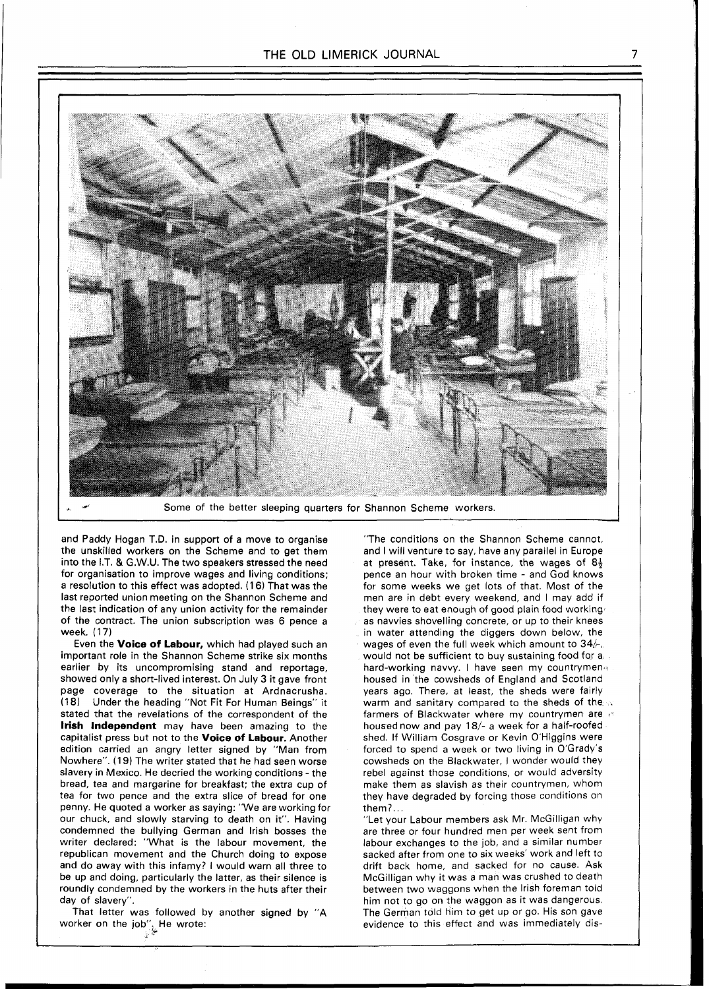

and Paddy Hogan T.D. in support of a move to organise the unskilled workers on the Scheme and to get them into the I.T. & G.W.U. The two speakers stressed the need for organisation to improve wages and living conditions: a resolution to this effect was adopted. **(1 6)** That was the last reported union meeting on the Shannon Scheme and the last indication of any union activity for the remainder of the contract. The union subscription was 6 pence a week. (17)

Even the **Voice of Labour,** which had played such an important role in the Shannon Scheme strike six months earlier by its uncompromising stand and reportage, showed only a short-lived interest. On July 3 it gave front page coverage to the situation at Ardnacrusha. (18) Under the heading "Not Fit For Human Beings" it stated that the revelations of the correspondent of the **lrish Independent** may have been amazing to the capitalist press but not to the **Voice of Labour.** Another edition carried an angry letter signed by "Man from Nowhere". **(1** 9) The writer stated that he had seen worse slavery in Mexico. He decried the working conditions - the bread, tea and margarine for breakfast: the extra cup of tea for two pence and the extra slice of bread for one penny. He quoted a worker as saying: "We are working for our chuck, and slowly starving to death on it". Having condemned the bullying German and lrish bosses the writer declared: "What is the labour movement, the republican movement and the Church doing to expose and do away with this infamy? I would warn all three to be up and doing, particularly the latter, as their silence is roundly condemned by the workers in the huts after their day of slavery".

That letter was followed by another signed by "A worker on the job''. He wrote:<br>with the state of the wrote:

"The conditions on the Shannon Scheme cannot, and I will venture to say, have any parallel in Europe at present. Take, for instance, the wages of  $8\frac{1}{2}$ pence an hour with broken time - and God knows for some weeks we get lots of that. Most of the men are in debt every weekend, and I may add if they were to eat enough of good plain food working as navvies shovelling concrete, or up to their knees in water attending the diggers down below, the wages of even the full week which amount to  $34/6$ , would not be sufficient to buy sustaining food for a hard-working navvy. I have seen my countrymen housed in the cowsheds of England and Scotland years ago. There, at least, the sheds were fairly warm and sanitary compared to the sheds of the farmers of Blackwater where my countrymen are  $\beta$ housed now and pay 18/- a week for a half-roofed shed. If William Cosgrave or Kevin O'Higgins were forced to spend a week or two living in O'Grady's cowsheds on the Blackwater, I wonder would they rebel against those conditions, or would adversity make them as slavish as their countrymen, whom they have degraded by forcing those conditions on them?

"Let your Labour members ask Mr. McGilligan why are three or four hundred men per week sent from labour exchanges to the job, and a similar number sacked after from one to six weeks' work and left to drift back home, and sacked for no cause. Ask McGilligan why it was a man was crushed to death between two waggons when the lrish foreman told him not to go on the waggon as it was dangerous The German told him to get up or go. His son gave evidence to this effect and was immediately dis-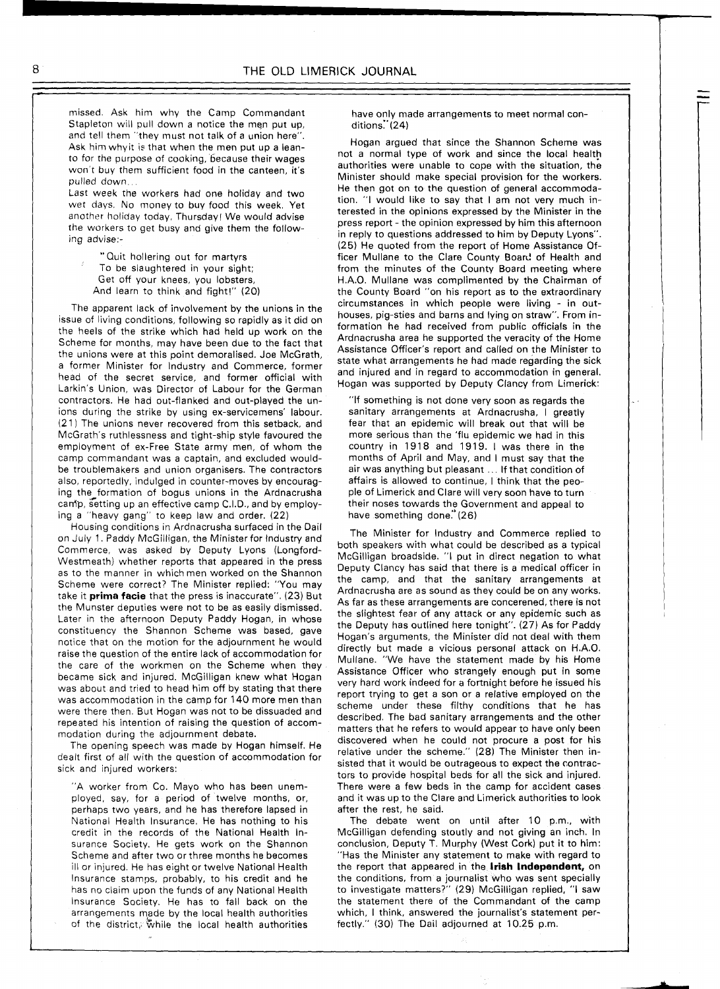missed. Ask him why the Camp Commandant Stapleton will pull down a notice the mep put up, and tell them "they must not talk of a union here". Ask him whyit is that when the men put up a leanto for the purpose of cooking, because their wages won't buy them sufficient food in the canteen, it's pulled down.

Last week the workers had one holiday and two wet days. No money to buy food this week. Yet another holiday today, Thursday! We would advise the workers to get busy and give them the following advise:-

"Quit hollering out for martyrs To be slaughtered in your sight; Get off your knees, you lobsters, And learn to think and fight!" (20)

The apparent lack of involvement by the unions in the issue of living conditions, following so rapidly as it did on the heels of the strike which had held up work on the Scheme for months, may have been due to the fact that the unions were at this point demoralised. Joe McGrath, a former Minister for lndustry and Commerce, former head of the secret service, and former official with Larkin's Union, was Director of Labour for the German contractors. He had out-flanked and out-played the unions during the strike by using ex-servicemens' labour. (21) The unions never recovered from this setback, and McGrath's ruthlessness and tight-ship style favoured the employment of ex-Free State army men, of whom the camp commandant was a captain, and excluded wouldbe troublemakers and union organisers. The contractors also, reportedly, indulged in counter-moves by encouraging the formation of bogus unions in the Ardnacrusha canip, setting up an effective camp C.I.D., and by employing a "heavy gang" to keep law and order. (22)

Housing conditions in Ardnacrusha surfaced in the Dail on July 1. Paddy McGilligan, the Minister for Industry and Commerce, was asked by Deputy Lyons (Longford-Westmeath) whether reports that appeared in the press as to the manner in which men worked on the Shannon Scheme were correct? The Minister replied: "You may take it **prima facie** that the press is inaccurate". (23) But the Munster deputies were not to be as easily dismissed. Later in the afternoon Deputy Paddy Hogan, in whose constituency the Shannon Scheme was based, gave notice that on the motion for the adjournment he would raise the question of the entire lack of accommodation for the care of the workmen on the Scheme when they became sick and injured. McGilligan knew what Hogan was about and tried to head him off by stating that there was accommodation in the camp for 140 more men than were there then. But Hogan was not to be dissuaded and repeated his intention of raising the question of accommodation during the adjournment debate.

The opening speech was made by Hogan himself. He dealt first of all with the question of accommodation for sick and injured workers:

"A worker from Co. Mayo who has been unemployed, say, for a period of twelve months, or, perhaps two years, and he has therefore lapsed in National Health Insurance. He has nothing to his credit in the records of the National Health Insurance Society. He gets work on the Shannon Scheme and after two or three months he becomes ill or injured. He has eight or twelve National Health Insurance stamps, probably, to his credit and he has no claim upon the funds of any National Health lnsurance Society. He has to fall back on the arrangements made by the local health authorities of the district, while the local health authorities

have only made arrangements to meet normal conditions.''(24)

Hogan argued that since the Shannon Scheme was not a normal type of work and since the local health authorities were unable to cope with the situation, the Minister should make special provision for the workers. He then got on to the question of general accommodation. "I would like to say that I am not very much interested in the opinions expressed by the Minister in the press report - the opinion expressed by him this afternoon in reply to questions addressed to him by Deputy Lyons". (25) He quoted from the report of Home Assistance Officer Mullane to the Clare County Board of Health and from the minutes of the County Board meeting where H.A.O. Mullane was complimented by the Chairman of the County Board "on his report as to the extraordinary circumstances in which people were living - in outhouses, pig-sties and barns and lying on straw". From information he had received from public officials in the Ardnacrusha area he supported the veracity of the Home Assistance Officer's report and called on the Minister to state what arrangements he had made regarding the sick and injured and in regard to accommodation in general. Hogan was supported by Deputy Clancy from Limerick:

"If something is not done very soon as regards the sanitary arrangements at Ardnacrusha, I greatly fear that an epidemic will break out that will be more serious than the 'flu epidemic we had in this country in 1918 and 1919. I was there in the months of April and May, and I must say that the air was anything but pleasant ... If that condition of affairs is allowed to continue, I think that the people of Limerick and Clare will very soon have to turn their noses towards the Government and appeal to have something done." (26)

The Minister for lndustry and Commerce replied to both speakers with what could be described as a typical McGilligan broadside. "I put in direct negation to what Deputy Clancy has said that there is a medical officer in the camp, and that the sanitary arrangements at Ardnacrusha are as sound as they could be on any works. As far as these arrangements are concerened, there is not the slightest fear of any attack or any epidemic such as the Deputy has outlined here tonight". (27) As for Paddy Hogan's arguments, the Minister did not deal with them directly but made a vicious personal attack on H.A.O. Mullane. "We have the statement made by his Home Assistance Officer who strangely enough put in some very hard work indeed for a fortnight before he issued his report trying to get a son or a relative employed on the scheme under these filthy conditions that he has described. The bad sanitary arrangements and the other matters that he refers to would appear to have only been discovered when he could not procure a post for his relative under the scheme." (28) The Minister then insisted that it would be outrageous to expect the contractors to provide hospital beds for all the sick and injured. There were a few beds in the camp for accident cases and it was up to the Clare and Limerick authorities to look after the rest, he said.

The debate went on until after 10 p.m., with McGilligan defending stoutly and not giving an inch. In conclusion, Deputy T. Murphy (West Cork) put it to him: "Has the Minister any statement to make with regard to the report that appeared in the **Irish Independent,** on the conditions, from a journalist who was sent specially to investigate matters?" (29) McGilligan replied, "I saw the statement there of the Commandant of the camp which, I think, answered the journalist's statement perfectly." (30) The Dail adjourned at 10.25 pm.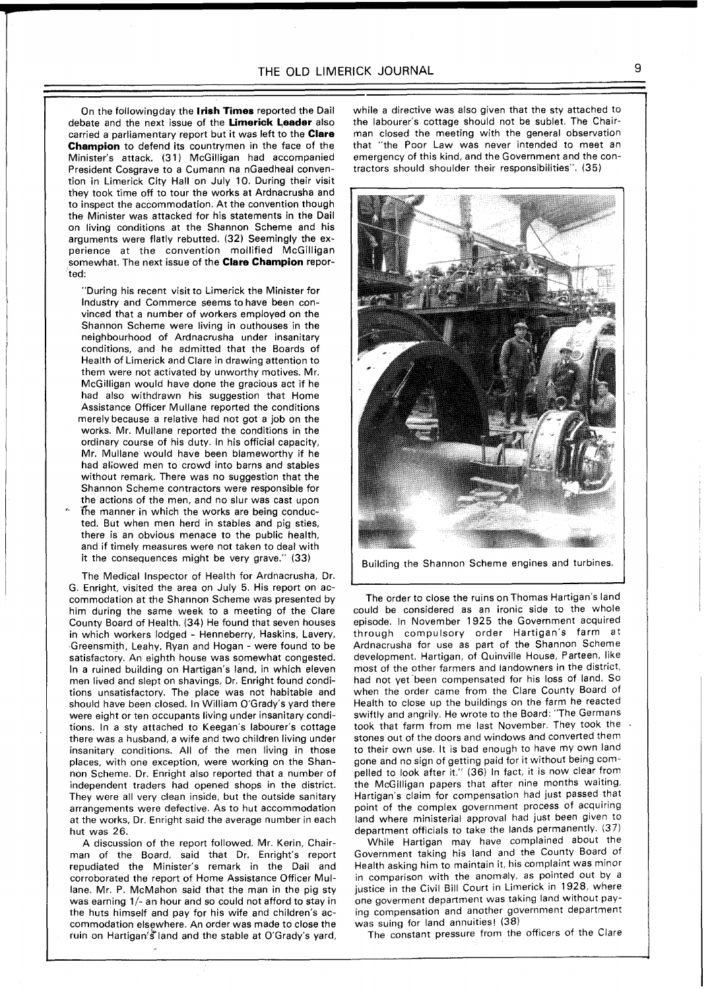On the followingday the **Irish Times** reported the Dail debate and the next issue of the **Limerick Leader** also carried a parliamentary report but it was left to the **Clare Champion** to defend its countrymen in the face of the Minister's attack. **(31)** McGilligan had accompanied President Cosgrave to a Cumann na nGaedheal convention in Limerick City Hall on July **10.** During their visit they took time off to tour the works at Ardnacrusha and to inspect the accommodation. At the convention though the Minister was attacked for his statements in the Dail on living conditions at the Shannon Scheme and his arguments were flatly rebutted. **(32)** Seemingly the experience at the convention mollified McGilligan somewhat. The next issue of the **Clare Champion** reported:

"During his recent visit to Limerick the Minister for Industry and Commerce seems to have been convinced that a number of workers employed on the Shannon Scheme were living in outhouses in the neighbourhood of Ardnacrusha under insanitary conditions, and he admitted that the Boards of Health of Limerick and Clare in drawing attention to them were not activated by unworthy motives. Mr. McGilligan would have done the gracious act if he had also withdrawn his suggestion that Home Assistance Officer Mullane reported the conditions merely because a relative had not got a job on the works. Mr. Mullane reported the conditions in the ordinary course of his duty. In his official capacity, Mr. Mullane would have been blameworthy if he had aliowed men to crowd into barns and stables without remark. There was no suggestion that the Shannon Scheme contractors were responsible for the actions of the men, and no slur was cast upon the manner in which the works are being conducted. But when men herd in stables and pig sties, there is an obvious menace to the public health, and if timely measures were not taken to deal with it the consequences might be very grave." **(33)** 

The Medical Inspector of Health for Ardnacrusha, Dr. G. Enright, visited the area on July **5.** His report on accommodation at the Shannon Scheme was presented by him during the same week to a meeting of the Clare County Board of Health. **(34)** He found that seven houses in which workers lodged - Henneberry, Haskins, Lavery, Greensmith, Leahy, Ryan and Hogan - were found to be satisfactory. An eighth house was somewhat congested. In a ruined building on Hartigan's land, in which eleven men lived and slept on shavings, Dr. Enright found conditions unsatisfactory. The place was not habitable and should have been closed. In William O'Grady's yard there were eight or ten occupants living under insanitary conditions. In a sty attached to Keegan's labourer's cottage there was a husband, a wife and two children living under insanitary conditions. All of the men living in those places, with one exception, were working on the Shannon Scheme. Dr. Enright also reported that a number of independent traders had opened shops in the district. They were all very clean inside, but the outside sanitary arrangements were defective. As to hut accommodation at the works, Dr. Enright said the average number in each hut was **26.** 

A discussion of the report followed. Mr. Kerin, Chairman of the Board, said that Dr. Enright's report repudiated the Minister's remark in the Dail and corroborated the report of Home Assistance Officer Mullane. Mr. P. McMahon said that the man in the pig sty was earning **l/-** an hour and so could not afford to stay in the huts himself and pay for his wife and children's accommodation elsewhere. An order was made to close the ruin on Hartigan's land and the stable at O'Grady's yard, while a directive was also given that the sty attached to the labourer's cottage should not be sublet. The Chairman closed the meeting with the general observation that "the Poor Law was never intended to meet an emergency of this kind, and the Government and the conractors should shoulder their responsibilities". **(35)** 



Building the Shannon Scheme engines and turbines.

The order to close the ruins on Thomas Hartigan's land could be considered as an ironic side to the whole episode. In November **1925** the Government acquired through compulsory order Hartigan's farm at Ardnacrusha for use as part of the Shannon Scheme development. Hartigan, of Ouinville House, Parteen, like most of the other farmers and landowners in the district, had not yet'been compensated for his loss of land. So when the order came from the Clare County Board of Health to close up the buildings on the farm he reacted swiftly and angrily. He wrote to the Board: "The Germans took that farm from me last November. They took the stones out of the doors and windows and converted them to their own use. It is bad enough to have my own land gone and no sign of getting paid for it without being compelled to look after it." **(36)** In fact, it is now clear from the McGilligan papers that after nine months waiting, Hartigan's claim for compensation had just passed that point of the complex government process of acquiring land where ministerial approval had just been given to department officials to take the lands permanently. **137)** 

While Hartigan may have complained about the Government taking his land and the County Board of Health asking him to maintain it, his complaint was minor in comparison with the anomaly, as pointed out by a justice in the Civil Bill Court in Limerick in **1928,** where one goverment department was taking land without paying compensation and another government department was suing for land annuities! (38)

The constant pressure from the officers of the Clare

1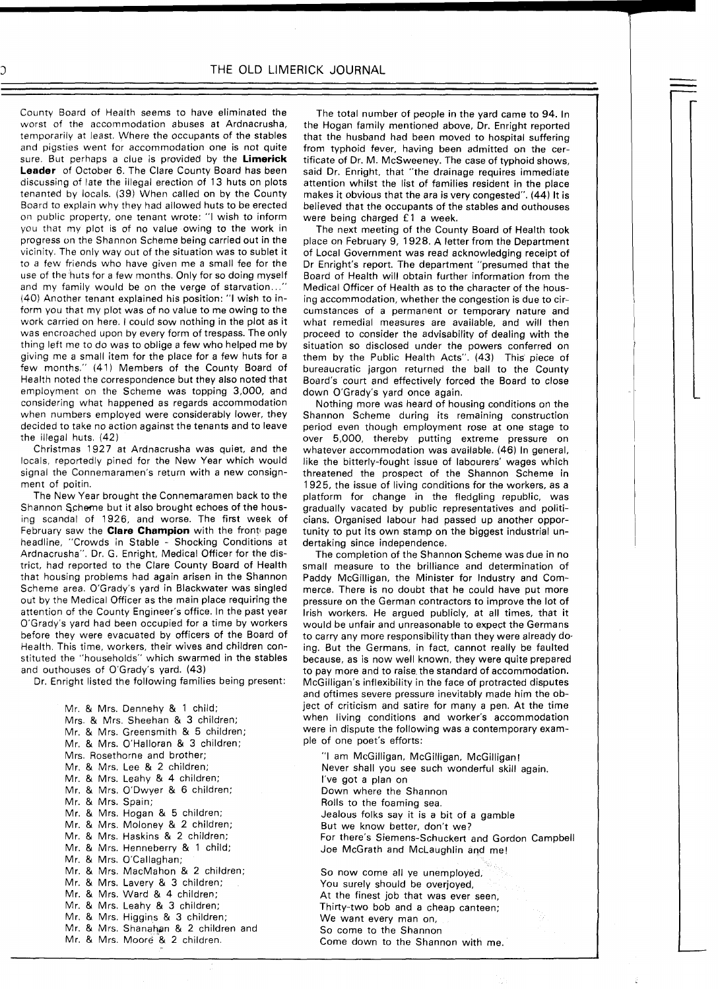County Board of Health seems to have eliminated the worst of the accommodation abuses at Ardnacrusha, temporarily at least. Where the occupants of the stables and pigsties went for accommodation one is not quite sure. But perhaps a clue is provided by the **Limerick Leader** of October **6.** The Clare County Board has been discussing of late the illegal erection of **13** huts on plots tenanted by locals. **(39)** When called on by the County Board to explain why they had allowed huts to be erected on public property, one tenant wrote: "I wish to inform you that my plot is of no value owing to the work in progress on the Shannon Scheme being carried out in the vicinity. The only way out of the situation was to sublet it to a few friends who have given me a small fee for the use of the huts for a few months. Only for so doing myself and my family would be on the verge of starvation... **(40)** Another tenant explained his position: "I wish to inform you that my plot was of no value to me owing to the work carried on here. I could sow nothing in the plot as it was encroached upon by every form of trespass. The only thing left me to do was to oblige a few who helped me by giving me a small item for the place for a few huts for a few months." **(41)** Members of the County Board of Health noted the correspondence but they also noted that employment on the Scheme was topping 3,000, and considering what happened as regards accommodation when numbers employed were considerably lower, they decided to take no action against the tenants and to leave the illegal huts. **(42)** 

Christmas **1927** at Ardnacrusha was quiet, and the locals, reportedly pined for the New Year which would signal the Connemaramen's return with a new consignment of poitin.

The New Year brought the Connemaramen back to the Shannon Scheme but it also brought echoes of the housing scandal of **1926,** and worse. The first week of February saw the **Clare Champion** with the front page headline, "Crowds in Stable - Shocking Conditions at Ardnacrusha". Dr. G. Enright, Medical Officer for the district, had reported to the Clare County Board of Health that housing problems had again arisen in the Shannon Scheme area. O'Grady's yard in Blackwater was singled out by the Medical Officer as the main place requiring the attention of the County Engineer's office. In the past year O'Grady's yard had been occupied for a time by workers before they were evacuated by officers of the Board of Health. This time, workers, their wives and children constituted the "households" which swarmed in the stables and outhouses of O'Grady's yard. **(43)** 

Dr. Enright listed the following families being present:

Mr. & Mrs. Dennehy & **1** child; Mrs. & Mrs. Sheehan & **3** children; Mr. & Mrs. Greensmith & 5 children; Mr. & Mrs. O'Halloran €4 **3** children; Mrs. Rosethorne and brother; Mr. & Mrs. Lee & **2** children; Mr. & Mrs. Leahy & **4** children; Mr. & Mrs. O'Dwyer & 6 children; Mr. & Mrs. Spain; Mr. & Mrs. Hogan & **5** children; Mr. & Mrs. Moloney & **2** children; Mr. & Mrs. Haskins & 2 children; Mr. & Mrs. Henneberry & **1** child; Mr. & Mrs. O'Callaghan; Mr. & Mrs. MacMahon & **2** children; Mr. & Mrs. Lavery & **3** children; Mr. & Mrs. Ward & **4** children; Mr. & Mrs. Leahy & 3 children; Mr. & Mrs. Higgins & **3** children; Mr. & Mrs. Shanahan & 2 children and Mr. & Mrs. Moore<sup>"8</sup> 2 children.

The total number of people in the yard came to **94.** In the Hogan family mentioned above, Dr. Enright reported that the husband had been moved to hospital suffering from typhoid fever, having been admitted on the certificate of Dr. M. McSweeney. The case of typhoid shows, said Dr. Enright, that "the drainage requires immediate attention whilst the list of families resident in the place makes it obvious that the ara is very congested". **(44)** It is believed that the occupants of the stables and outhouses were being charged **f l** a week.

The next meeting of the County Board of Health took place on February **9, 1928.** A letter from the Department of Local Government was read acknowledging receipt of Dr Enright's report. The department "presumed that the Board of Health will obtain further information from the Medical Officer of Health as to the character of the housing accommodation, whether the congestion is due to circumstances of a permanent or temporary nature and what remedial measures are available, and will then proceed to consider the advisability of dealing with the situation so disclosed under the powers conferred on them by the Public Health Acts". **(43)** This piece of bureaucratic jargon returned the ball to the County Board's court and effectively forced the Board to close down O'Grady's yard once again.

Nothing more was heard of housing conditions on the Shannon Scheme during its remaining construction period even though employment rose at one stage to over 5,000, thereby putting extreme pressure on whatever accommodation was available. **(46)** In general, like the bitterly-fought issue of labourers' wages which threatened the prospect of the Shannon Scheme in **1925,** the issue of living conditions for the workers, as a platform for change in the fledgling republic, was gradually vacated by public representatives and politicians. Organised labour had passed up another opportunity to put its own stamp on the biggest industrial undertaking since independence.

The completion of the Shannon Scheme was due in no small measure to the brilliance and determination of Paddy McGilligan, the Minister for Industry and Commerce. There is no doubt that he could have put more pressure on the German contractors to improve the lot of Irish workers. He argued publicly, at all times, that it would be unfair and unreasonable to expect the Germans to carry any more responsibility than they were already do ing. But the Germans, in fact, cannot really be faulted because, as is now well known, they were quite prepared to pay more and to raise the standard of accommodation. McGilligan's inflexibility in the face of protracted disputes and oftimes severe pressure inevitably made him the object of criticism and satire for many a pen. At the time when living conditions and worker's accommodation were in dispute the following was a contemporary example of one poet's efforts:

"I am McGilligan, McGilligan, McGilligan! Never shall you see such wonderful skill again. I've got a plan on Down where the Shannon Rolls to the foaming sea. Jealous folks say it is a bit of a gamble But we know better, don't we? For there's Siemens-Schuckert and Gordon Campbell Joe McGrath and McLaughlin and me!

So now come all ye unemployed, You surely should be overjoyed, At the finest job that was ever seen, Thirty-two bob and a cheap canteen; We want every man on, So come to the Shannon Come down to the Shannon with me.